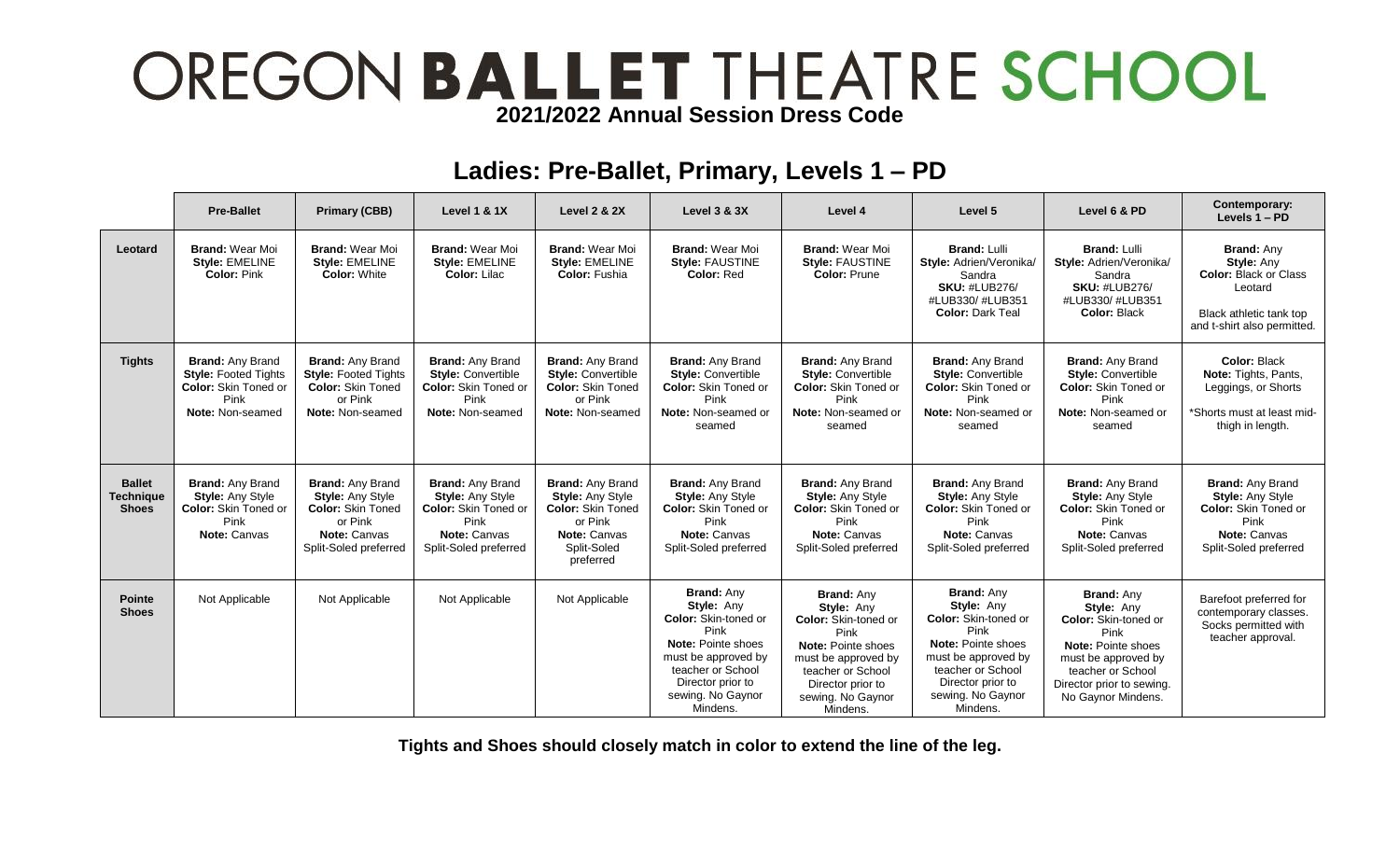# OREGON BALLET THEATRE SCHOOL

### **Ladies: Pre-Ballet, Primary, Levels 1 – PD**

|                                                   | <b>Pre-Ballet</b>                                                                                                 | <b>Primary (CBB)</b>                                                                                                               | <b>Level 1 &amp; 1X</b>                                                                                                            | <b>Level 2 &amp; 2X</b>                                                                                                                      | <b>Level 3 &amp; 3X</b>                                                                                                                                                                        | Level 4                                                                                                                                                                                               | Level 5                                                                                                                                                                                        | Level 6 & PD                                                                                                                                                                                       | Contemporary:<br>Levels 1 - PD                                                                                                              |
|---------------------------------------------------|-------------------------------------------------------------------------------------------------------------------|------------------------------------------------------------------------------------------------------------------------------------|------------------------------------------------------------------------------------------------------------------------------------|----------------------------------------------------------------------------------------------------------------------------------------------|------------------------------------------------------------------------------------------------------------------------------------------------------------------------------------------------|-------------------------------------------------------------------------------------------------------------------------------------------------------------------------------------------------------|------------------------------------------------------------------------------------------------------------------------------------------------------------------------------------------------|----------------------------------------------------------------------------------------------------------------------------------------------------------------------------------------------------|---------------------------------------------------------------------------------------------------------------------------------------------|
| Leotard                                           | <b>Brand: Wear Moi</b><br>Style: EMELINE<br><b>Color: Pink</b>                                                    | <b>Brand: Wear Moi</b><br>Style: EMELINE<br><b>Color: White</b>                                                                    | <b>Brand: Wear Moi</b><br>Style: EMELINE<br>Color: Lilac                                                                           | <b>Brand: Wear Moi</b><br>Style: EMELINE<br><b>Color: Fushia</b>                                                                             | <b>Brand: Wear Moi</b><br>Style: FAUSTINE<br>Color: Red                                                                                                                                        | <b>Brand: Wear Moi</b><br>Style: FAUSTINE<br><b>Color: Prune</b>                                                                                                                                      | <b>Brand: Lulli</b><br>Style: Adrien/Veronika/<br>Sandra<br><b>SKU: #LUB276/</b><br>#LUB330/#LUB351<br><b>Color: Dark Teal</b>                                                                 | <b>Brand: Lulli</b><br>Style: Adrien/Veronika/<br>Sandra<br><b>SKU: #LUB276/</b><br>#LUB330/#LUB351<br><b>Color: Black</b>                                                                         | <b>Brand: Any</b><br><b>Style: Any</b><br><b>Color: Black or Class</b><br>Leotard<br>Black athletic tank top<br>and t-shirt also permitted. |
| <b>Tights</b>                                     | <b>Brand: Any Brand</b><br><b>Style: Footed Tights</b><br><b>Color:</b> Skin Toned or<br>Pink<br>Note: Non-seamed | <b>Brand: Any Brand</b><br><b>Style: Footed Tights</b><br><b>Color: Skin Toned</b><br>or Pink<br>Note: Non-seamed                  | <b>Brand: Any Brand</b><br><b>Style: Convertible</b><br><b>Color:</b> Skin Toned or<br>Pink<br>Note: Non-seamed                    | <b>Brand: Any Brand</b><br><b>Style: Convertible</b><br><b>Color: Skin Toned</b><br>or Pink<br>Note: Non-seamed                              | <b>Brand: Any Brand</b><br><b>Style: Convertible</b><br><b>Color: Skin Toned or</b><br>Pink<br>Note: Non-seamed or<br>seamed                                                                   | <b>Brand: Any Brand</b><br><b>Style: Convertible</b><br><b>Color: Skin Toned or</b><br>Pink<br>Note: Non-seamed or<br>seamed                                                                          | <b>Brand: Any Brand</b><br><b>Style: Convertible</b><br>Color: Skin Toned or<br>Pink<br>Note: Non-seamed or<br>seamed                                                                          | <b>Brand: Any Brand</b><br><b>Style: Convertible</b><br><b>Color: Skin Toned or</b><br>Pink<br>Note: Non-seamed or<br>seamed                                                                       | Color: Black<br>Note: Tights, Pants,<br>Leggings, or Shorts<br>*Shorts must at least mid-<br>thigh in length.                               |
| <b>Ballet</b><br><b>Technique</b><br><b>Shoes</b> | <b>Brand: Any Brand</b><br><b>Style: Any Style</b><br><b>Color: Skin Toned or</b><br>Pink<br>Note: Canvas         | <b>Brand: Any Brand</b><br><b>Style: Any Style</b><br><b>Color: Skin Toned</b><br>or Pink<br>Note: Canvas<br>Split-Soled preferred | <b>Brand: Any Brand</b><br><b>Style: Any Style</b><br><b>Color:</b> Skin Toned or<br>Pink<br>Note: Canvas<br>Split-Soled preferred | <b>Brand: Any Brand</b><br><b>Style: Any Style</b><br><b>Color: Skin Toned</b><br>or Pink<br><b>Note: Canvas</b><br>Split-Soled<br>preferred | <b>Brand: Any Brand</b><br><b>Style: Any Style</b><br>Color: Skin Toned or<br>Pink<br>Note: Canvas<br>Split-Soled preferred                                                                    | <b>Brand: Any Brand</b><br><b>Style: Any Style</b><br><b>Color: Skin Toned or</b><br>Pink<br>Note: Canvas<br>Split-Soled preferred                                                                    | <b>Brand: Any Brand</b><br><b>Style: Any Style</b><br>Color: Skin Toned or<br>Pink<br>Note: Canvas<br>Split-Soled preferred                                                                    | <b>Brand: Any Brand</b><br><b>Style: Any Style</b><br>Color: Skin Toned or<br>Pink<br>Note: Canvas<br>Split-Soled preferred                                                                        | <b>Brand: Any Brand</b><br><b>Style: Any Style</b><br><b>Color: Skin Toned or</b><br>Pink<br>Note: Canvas<br>Split-Soled preferred          |
| <b>Pointe</b><br><b>Shoes</b>                     | Not Applicable                                                                                                    | Not Applicable                                                                                                                     | Not Applicable                                                                                                                     | Not Applicable                                                                                                                               | <b>Brand: Anv</b><br>Style: Any<br><b>Color:</b> Skin-toned or<br>Pink<br>Note: Pointe shoes<br>must be approved by<br>teacher or School<br>Director prior to<br>sewing. No Gaynor<br>Mindens. | <b>Brand: Any</b><br>Style: Any<br><b>Color:</b> Skin-toned or<br>Pink<br><b>Note: Pointe shoes</b><br>must be approved by<br>teacher or School<br>Director prior to<br>sewing. No Gaynor<br>Mindens. | <b>Brand: Anv</b><br>Style: Any<br><b>Color:</b> Skin-toned or<br>Pink<br>Note: Pointe shoes<br>must be approved by<br>teacher or School<br>Director prior to<br>sewing. No Gaynor<br>Mindens. | <b>Brand: Any</b><br>Style: Any<br><b>Color:</b> Skin-toned or<br>Pink<br><b>Note: Pointe shoes</b><br>must be approved by<br>teacher or School<br>Director prior to sewing.<br>No Gaynor Mindens. | Barefoot preferred for<br>contemporary classes.<br>Socks permitted with<br>teacher approval.                                                |

**Tights and Shoes should closely match in color to extend the line of the leg.**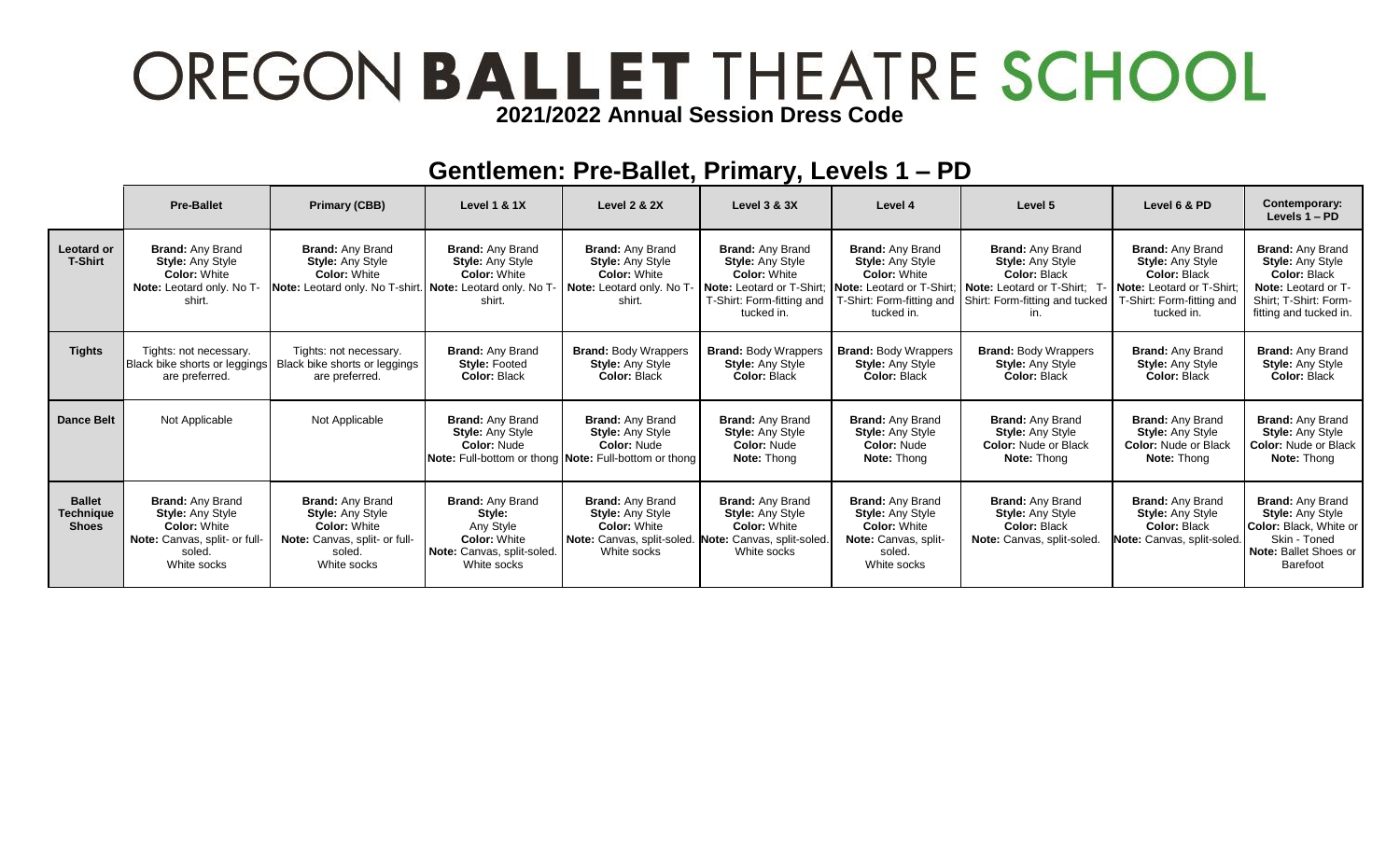## OREGON BALLET THEATRE SCHOOL **2021/2022 Annual Session Dress Code**

#### **Gentlemen: Pre-Ballet, Primary, Levels 1 – PD**

|                                            | <b>Pre-Ballet</b>                                                                                                                   | <b>Primary (CBB)</b>                                                                                                                | <b>Level 1 &amp; 1X</b>                                                                                                           | <b>Level 2 &amp; 2X</b>                                                                                                                          | Level 3 & 3X                                                                                                                                     | Level 4                                                                                                                    | Level 5                                                                                                                                                              | Level 6 & PD                                                                                                                               | Contemporary:<br>Levels $1 - PD$                                                                                                                    |
|--------------------------------------------|-------------------------------------------------------------------------------------------------------------------------------------|-------------------------------------------------------------------------------------------------------------------------------------|-----------------------------------------------------------------------------------------------------------------------------------|--------------------------------------------------------------------------------------------------------------------------------------------------|--------------------------------------------------------------------------------------------------------------------------------------------------|----------------------------------------------------------------------------------------------------------------------------|----------------------------------------------------------------------------------------------------------------------------------------------------------------------|--------------------------------------------------------------------------------------------------------------------------------------------|-----------------------------------------------------------------------------------------------------------------------------------------------------|
| <b>Leotard or</b><br><b>T-Shirt</b>        | <b>Brand: Any Brand</b><br><b>Style: Any Style</b><br><b>Color: White</b><br>Note: Leotard only. No T-<br>shirt.                    | <b>Brand: Any Brand</b><br><b>Style: Any Style</b><br><b>Color: White</b><br>Note: Leotard only. No T-shirt.                        | <b>Brand: Any Brand</b><br><b>Style: Any Style</b><br><b>Color: White</b><br>Note: Leotard only. No T-<br>shirt.                  | <b>Brand: Any Brand</b><br><b>Style: Any Style</b><br><b>Color: White</b><br><b>Note:</b> Leotard only. No T<br>shirt.                           | <b>Brand: Any Brand</b><br><b>Style: Any Style</b><br><b>Color: White</b><br>Note: Leotard or T-Shirt<br>T-Shirt: Form-fitting and<br>tucked in. | <b>Brand: Any Brand</b><br><b>Style: Any Style</b><br><b>Color: White</b><br>Note: Leotard or T-Shirt:<br>tucked in.       | <b>Brand: Any Brand</b><br><b>Style: Any Style</b><br><b>Color: Black</b><br>Note: Leotard or T-Shirt: T<br>T-Shirt: Form-fitting and Shirt: Form-fitting and tucked | <b>Brand: Any Brand</b><br><b>Style: Any Style</b><br>Color: Black<br>Note: Leotard or T-Shirt:<br>T-Shirt: Form-fitting and<br>tucked in. | <b>Brand: Any Brand</b><br><b>Style: Any Style</b><br>Color: Black<br><b>Note:</b> Leotard or T-<br>Shirt: T-Shirt: Form-<br>fitting and tucked in. |
| <b>Tights</b>                              | Tights: not necessary.<br>Black bike shorts or leggings<br>are preferred.                                                           | Tights: not necessary.<br>Black bike shorts or leggings<br>are preferred.                                                           | <b>Brand: Any Brand</b><br><b>Style: Footed</b><br><b>Color: Black</b>                                                            | <b>Brand: Body Wrappers</b><br><b>Style: Any Style</b><br><b>Color: Black</b>                                                                    | <b>Brand: Body Wrappers</b><br><b>Style: Any Style</b><br><b>Color: Black</b>                                                                    | <b>Brand: Body Wrappers</b><br><b>Style: Any Style</b><br>Color: Black                                                     | <b>Brand: Body Wrappers</b><br><b>Style: Any Style</b><br><b>Color: Black</b>                                                                                        | <b>Brand: Any Brand</b><br><b>Style: Any Style</b><br>Color: Black                                                                         | <b>Brand: Any Brand</b><br><b>Style: Any Style</b><br><b>Color: Black</b>                                                                           |
| Dance Belt                                 | Not Applicable                                                                                                                      | Not Applicable                                                                                                                      | <b>Brand: Any Brand</b><br><b>Style:</b> Any Style<br><b>Color: Nude</b><br>Note: Full-bottom or thong Note: Full-bottom or thong | <b>Brand: Any Brand</b><br><b>Style: Any Style</b><br><b>Color: Nude</b>                                                                         | <b>Brand: Any Brand</b><br><b>Style: Any Style</b><br><b>Color: Nude</b><br><b>Note: Thong</b>                                                   | <b>Brand: Any Brand</b><br><b>Style: Any Style</b><br><b>Color: Nude</b><br>Note: Thong                                    | <b>Brand: Any Brand</b><br><b>Style: Any Style</b><br><b>Color: Nude or Black</b><br>Note: Thong                                                                     | <b>Brand: Any Brand</b><br><b>Style: Any Style</b><br><b>Color: Nude or Black</b><br><b>Note: Thong</b>                                    | <b>Brand: Any Brand</b><br><b>Style: Any Style</b><br><b>Color: Nude or Black</b><br><b>Note: Thong</b>                                             |
| <b>Ballet</b><br>Technique<br><b>Shoes</b> | <b>Brand: Any Brand</b><br><b>Style: Any Style</b><br><b>Color: White</b><br>Note: Canvas, split- or full-<br>soled.<br>White socks | <b>Brand: Any Brand</b><br><b>Style: Any Style</b><br><b>Color: White</b><br>Note: Canvas, split- or full-<br>soled.<br>White socks | <b>Brand: Any Brand</b><br>Style:<br>Any Style<br><b>Color: White</b><br>Note: Canvas, split-soled.<br>White socks                | <b>Brand: Any Brand</b><br><b>Style: Any Style</b><br><b>Color: White</b><br>Note: Canvas, split-soled. Note: Canvas, split-soled<br>White socks | <b>Brand: Any Brand</b><br><b>Style: Any Style</b><br><b>Color: White</b><br>White socks                                                         | <b>Brand: Any Brand</b><br><b>Style: Any Style</b><br><b>Color: White</b><br>Note: Canvas, split-<br>soled.<br>White socks | <b>Brand: Any Brand</b><br><b>Style: Any Style</b><br>Color: Black<br>Note: Canvas, split-soled.                                                                     | <b>Brand: Any Brand</b><br><b>Style: Any Style</b><br>Color: Black<br>Note: Canvas, split-soled.                                           | <b>Brand: Any Brand</b><br><b>Style: Any Style</b><br>Color: Black. White or<br>Skin - Toned<br>Note: Ballet Shoes or<br><b>Barefoot</b>            |